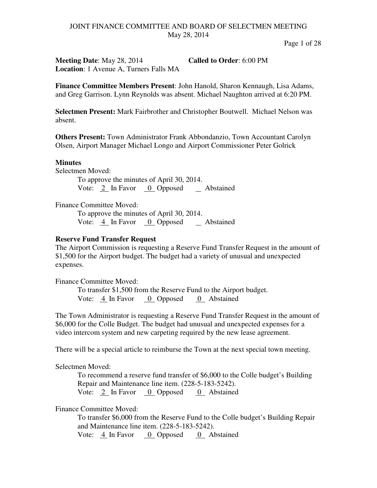Page 1 of 28

**Meeting Date**: May 28, 2014 **Called to Order**: 6:00 PM **Location**: 1 Avenue A, Turners Falls MA

**Finance Committee Members Present**: John Hanold, Sharon Kennaugh, Lisa Adams, and Greg Garrison. Lynn Reynolds was absent. Michael Naughton arrived at 6:20 PM.

**Selectmen Present:** Mark Fairbrother and Christopher Boutwell. Michael Nelson was absent.

**Others Present:** Town Administrator Frank Abbondanzio, Town Accountant Carolyn Olsen, Airport Manager Michael Longo and Airport Commissioner Peter Golrick

#### **Minutes**

Selectmen Moved:

To approve the minutes of April 30, 2014. Vote:  $2 \text{ In Favor } 0$  Opposed  $\text{ Abstained}$ 

Finance Committee Moved:

To approve the minutes of April 30, 2014. Vote: 4 In Favor 0 Opposed Abstained

#### **Reserve Fund Transfer Request**

The Airport Commission is requesting a Reserve Fund Transfer Request in the amount of \$1,500 for the Airport budget. The budget had a variety of unusual and unexpected expenses.

Finance Committee Moved:

To transfer \$1,500 from the Reserve Fund to the Airport budget. Vote: 4 In Favor 0 Opposed 0 Abstained

The Town Administrator is requesting a Reserve Fund Transfer Request in the amount of \$6,000 for the Colle Budget. The budget had unusual and unexpected expenses for a video intercom system and new carpeting required by the new lease agreement.

There will be a special article to reimburse the Town at the next special town meeting.

Selectmen Moved:

To recommend a reserve fund transfer of \$6,000 to the Colle budget's Building Repair and Maintenance line item. (228-5-183-5242). Vote: 2 In Favor 0 Opposed 0 Abstained

Finance Committee Moved:

To transfer \$6,000 from the Reserve Fund to the Colle budget's Building Repair and Maintenance line item. (228-5-183-5242).

Vote: 4 In Favor 0 Opposed 0 Abstained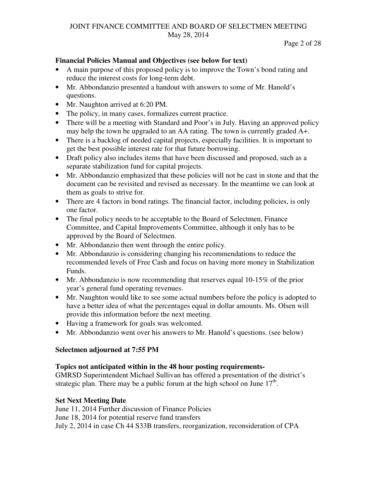#### Page 2 of 28

#### **Financial Policies Manual and Objectives (see below for text)**

- A main purpose of this proposed policy is to improve the Town's bond rating and reduce the interest costs for long-term debt.
- Mr. Abbondanzio presented a handout with answers to some of Mr. Hanold's questions.
- Mr. Naughton arrived at 6:20 PM.
- The policy, in many cases, formalizes current practice.
- There will be a meeting with Standard and Poor's in July. Having an approved policy may help the town be upgraded to an AA rating. The town is currently graded A+.
- There is a backlog of needed capital projects, especially facilities. It is important to get the best possible interest rate for that future borrowing.
- Draft policy also includes items that have been discussed and proposed, such as a separate stabilization fund for capital projects.
- Mr. Abbondanzio emphasized that these policies will not be cast in stone and that the document can be revisited and revised as necessary. In the meantime we can look at them as goals to strive for.
- There are 4 factors in bond ratings. The financial factor, including policies, is only one factor.
- The final policy needs to be acceptable to the Board of Selectmen, Finance Committee, and Capital Improvements Committee, although it only has to be approved by the Board of Selectmen.
- Mr. Abbondanzio then went through the entire policy.
- Mr. Abbondanzio is considering changing his recommendations to reduce the recommended levels of Free Cash and focus on having more money in Stabilization Funds.
- Mr. Abbondanzio is now recommending that reserves equal  $10\n-15\%$  of the prior year's general fund operating revenues.
- Mr. Naughton would like to see some actual numbers before the policy is adopted to have a better idea of what the percentages equal in dollar amounts. Ms. Olsen will provide this information before the next meeting.
- Having a framework for goals was welcomed.
- Mr. Abbondanzio went over his answers to Mr. Hanold's questions. (see below)

## **Selectmen adjourned at 7:55 PM**

## **Topics not anticipated within in the 48 hour posting requirements-**

GMRSD Superintendent Michael Sullivan has offered a presentation of the district's strategic plan. There may be a public forum at the high school on June  $17<sup>th</sup>$ .

## **Set Next Meeting Date**

June 11, 2014 Further discussion of Finance Policies June 18, 2014 for potential reserve fund transfers July 2, 2014 in case Ch 44 S33B transfers, reorganization, reconsideration of CPA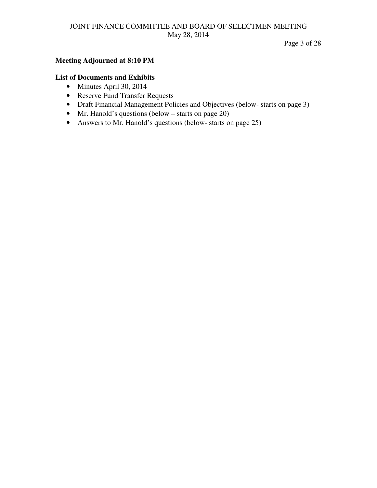Page 3 of 28

#### **Meeting Adjourned at 8:10 PM**

#### **List of Documents and Exhibits**

- Minutes April 30, 2014
- Reserve Fund Transfer Requests
- Draft Financial Management Policies and Objectives (below- starts on page 3)
- Mr. Hanold's questions (below starts on page 20)
- Answers to Mr. Hanold's questions (below- starts on page 25)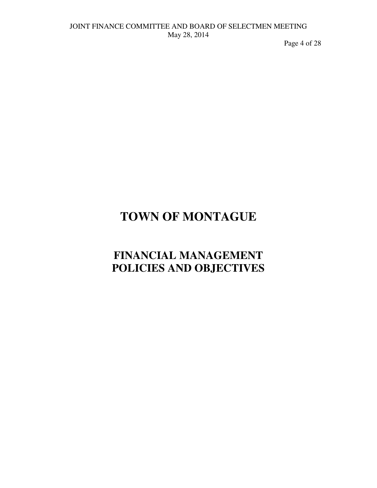Page 4 of 28

# **TOWN OF MONTAGUE**

# **FINANCIAL MANAGEMENT POLICIES AND OBJECTIVES**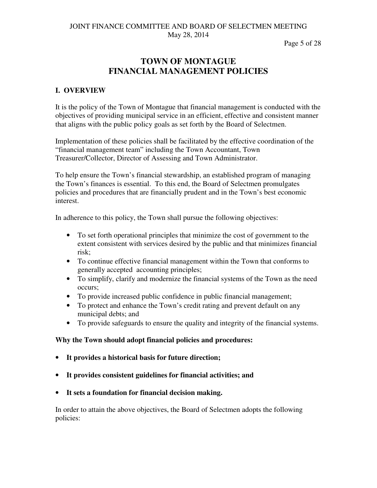Page 5 of 28

# **TOWN OF MONTAGUE FINANCIAL MANAGEMENT POLICIES**

## **I. OVERVIEW**

It is the policy of the Town of Montague that financial management is conducted with the objectives of providing municipal service in an efficient, effective and consistent manner that aligns with the public policy goals as set forth by the Board of Selectmen.

Implementation of these policies shall be facilitated by the effective coordination of the "financial management team" including the Town Accountant, Town Treasurer/Collector, Director of Assessing and Town Administrator.

To help ensure the Town's financial stewardship, an established program of managing the Town's finances is essential. To this end, the Board of Selectmen promulgates policies and procedures that are financially prudent and in the Town's best economic interest.

In adherence to this policy, the Town shall pursue the following objectives:

- To set forth operational principles that minimize the cost of government to the extent consistent with services desired by the public and that minimizes financial risk;
- To continue effective financial management within the Town that conforms to generally accepted accounting principles;
- To simplify, clarify and modernize the financial systems of the Town as the need occurs;
- To provide increased public confidence in public financial management;
- To protect and enhance the Town's credit rating and prevent default on any municipal debts; and
- To provide safeguards to ensure the quality and integrity of the financial systems.

## **Why the Town should adopt financial policies and procedures:**

- **It provides a historical basis for future direction;**
- **It provides consistent guidelines for financial activities; and**
- **It sets a foundation for financial decision making.**

In order to attain the above objectives, the Board of Selectmen adopts the following policies: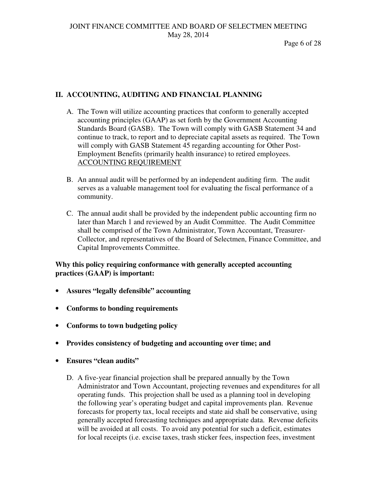Page 6 of 28

# **II. ACCOUNTING, AUDITING AND FINANCIAL PLANNING**

- A. The Town will utilize accounting practices that conform to generally accepted accounting principles (GAAP) as set forth by the Government Accounting Standards Board (GASB). The Town will comply with GASB Statement 34 and continue to track, to report and to depreciate capital assets as required. The Town will comply with GASB Statement 45 regarding accounting for Other Post-Employment Benefits (primarily health insurance) to retired employees. ACCOUNTING REQUIREMENT
- B. An annual audit will be performed by an independent auditing firm. The audit serves as a valuable management tool for evaluating the fiscal performance of a community.
- C. The annual audit shall be provided by the independent public accounting firm no later than March 1 and reviewed by an Audit Committee. The Audit Committee shall be comprised of the Town Administrator, Town Accountant, Treasurer-Collector, and representatives of the Board of Selectmen, Finance Committee, and Capital Improvements Committee.

## **Why this policy requiring conformance with generally accepted accounting practices (GAAP) is important:**

- **Assures "legally defensible" accounting**
- **Conforms to bonding requirements**
- **Conforms to town budgeting policy**
- **Provides consistency of budgeting and accounting over time; and**
- **Ensures "clean audits"** 
	- D. A five-year financial projection shall be prepared annually by the Town Administrator and Town Accountant, projecting revenues and expenditures for all operating funds. This projection shall be used as a planning tool in developing the following year's operating budget and capital improvements plan. Revenue forecasts for property tax, local receipts and state aid shall be conservative, using generally accepted forecasting techniques and appropriate data. Revenue deficits will be avoided at all costs. To avoid any potential for such a deficit, estimates for local receipts (i.e. excise taxes, trash sticker fees, inspection fees, investment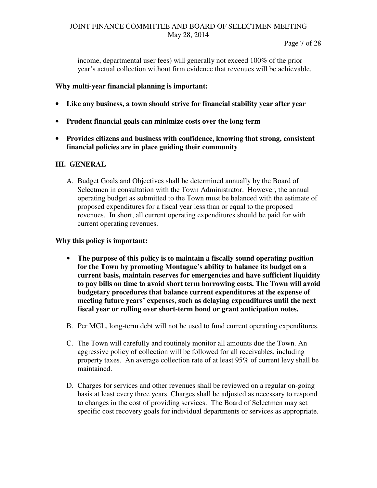income, departmental user fees) will generally not exceed 100% of the prior year's actual collection without firm evidence that revenues will be achievable.

## **Why multi-year financial planning is important:**

- **Like any business, a town should strive for financial stability year after year**
- **Prudent financial goals can minimize costs over the long term**
- **Provides citizens and business with confidence, knowing that strong, consistent financial policies are in place guiding their community**

## **III. GENERAL**

A. Budget Goals and Objectives shall be determined annually by the Board of Selectmen in consultation with the Town Administrator. However, the annual operating budget as submitted to the Town must be balanced with the estimate of proposed expenditures for a fiscal year less than or equal to the proposed revenues. In short, all current operating expenditures should be paid for with current operating revenues.

## **Why this policy is important:**

- **The purpose of this policy is to maintain a fiscally sound operating position for the Town by promoting Montague's ability to balance its budget on a current basis, maintain reserves for emergencies and have sufficient liquidity to pay bills on time to avoid short term borrowing costs. The Town will avoid budgetary procedures that balance current expenditures at the expense of meeting future years' expenses, such as delaying expenditures until the next fiscal year or rolling over short-term bond or grant anticipation notes.**
- B. Per MGL, long-term debt will not be used to fund current operating expenditures.
- C. The Town will carefully and routinely monitor all amounts due the Town. An aggressive policy of collection will be followed for all receivables, including property taxes. An average collection rate of at least 95% of current levy shall be maintained.
- D. Charges for services and other revenues shall be reviewed on a regular on-going basis at least every three years. Charges shall be adjusted as necessary to respond to changes in the cost of providing services. The Board of Selectmen may set specific cost recovery goals for individual departments or services as appropriate.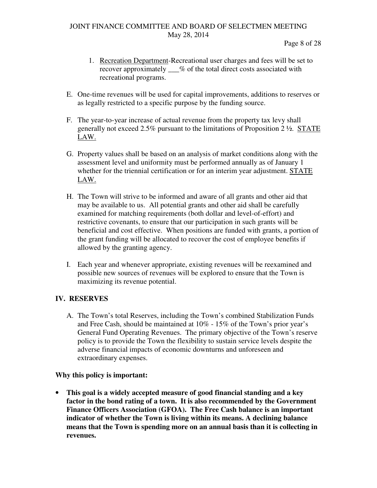Page 8 of 28

- 1. Recreation Department-Recreational user charges and fees will be set to recover approximately  $\%$  of the total direct costs associated with recreational programs.
- E. One-time revenues will be used for capital improvements, additions to reserves or as legally restricted to a specific purpose by the funding source.
- F. The year-to-year increase of actual revenue from the property tax levy shall generally not exceed 2.5% pursuant to the limitations of Proposition 2 ½. STATE LAW.
- G. Property values shall be based on an analysis of market conditions along with the assessment level and uniformity must be performed annually as of January 1 whether for the triennial certification or for an interim year adjustment. STATE LAW.
- H. The Town will strive to be informed and aware of all grants and other aid that may be available to us. All potential grants and other aid shall be carefully examined for matching requirements (both dollar and level-of-effort) and restrictive covenants, to ensure that our participation in such grants will be beneficial and cost effective. When positions are funded with grants, a portion of the grant funding will be allocated to recover the cost of employee benefits if allowed by the granting agency.
- I. Each year and whenever appropriate, existing revenues will be reexamined and possible new sources of revenues will be explored to ensure that the Town is maximizing its revenue potential.

## **IV. RESERVES**

A. The Town's total Reserves, including the Town's combined Stabilization Funds and Free Cash, should be maintained at 10% - 15% of the Town's prior year's General Fund Operating Revenues. The primary objective of the Town's reserve policy is to provide the Town the flexibility to sustain service levels despite the adverse financial impacts of economic downturns and unforeseen and extraordinary expenses.

## **Why this policy is important:**

• **This goal is a widely accepted measure of good financial standing and a key factor in the bond rating of a town. It is also recommended by the Government Finance Officers Association (GFOA). The Free Cash balance is an important indicator of whether the Town is living within its means. A declining balance means that the Town is spending more on an annual basis than it is collecting in revenues.**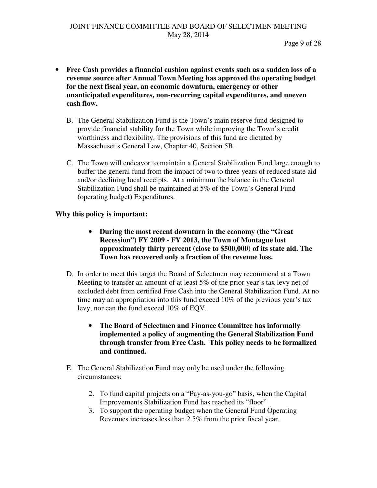- **Free Cash provides a financial cushion against events such as a sudden loss of a revenue source after Annual Town Meeting has approved the operating budget for the next fiscal year, an economic downturn, emergency or other unanticipated expenditures, non-recurring capital expenditures, and uneven cash flow.** 
	- B. The General Stabilization Fund is the Town's main reserve fund designed to provide financial stability for the Town while improving the Town's credit worthiness and flexibility. The provisions of this fund are dictated by Massachusetts General Law, Chapter 40, Section 5B.
	- C. The Town will endeavor to maintain a General Stabilization Fund large enough to buffer the general fund from the impact of two to three years of reduced state aid and/or declining local receipts. At a minimum the balance in the General Stabilization Fund shall be maintained at 5% of the Town's General Fund (operating budget) Expenditures.

## **Why this policy is important:**

- **During the most recent downturn in the economy (the "Great Recession") FY 2009 - FY 2013, the Town of Montague lost approximately thirty percent (close to \$500,000) of its state aid. The Town has recovered only a fraction of the revenue loss.**
- D. In order to meet this target the Board of Selectmen may recommend at a Town Meeting to transfer an amount of at least 5% of the prior year's tax levy net of excluded debt from certified Free Cash into the General Stabilization Fund. At no time may an appropriation into this fund exceed 10% of the previous year's tax levy, nor can the fund exceed 10% of EQV.
	- **The Board of Selectmen and Finance Committee has informally implemented a policy of augmenting the General Stabilization Fund through transfer from Free Cash. This policy needs to be formalized and continued.**
- E. The General Stabilization Fund may only be used under the following circumstances:
	- 2. To fund capital projects on a "Pay-as-you-go" basis, when the Capital Improvements Stabilization Fund has reached its "floor"
	- 3. To support the operating budget when the General Fund Operating Revenues increases less than 2.5% from the prior fiscal year.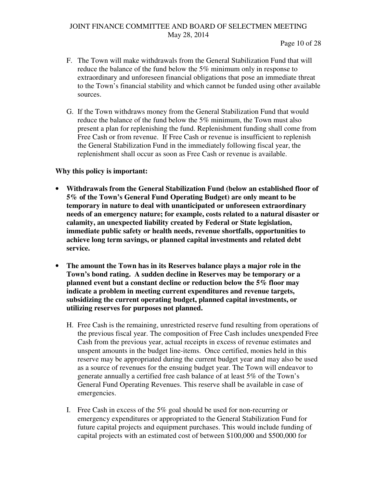- F. The Town will make withdrawals from the General Stabilization Fund that will reduce the balance of the fund below the 5% minimum only in response to extraordinary and unforeseen financial obligations that pose an immediate threat to the Town's financial stability and which cannot be funded using other available sources.
- G. If the Town withdraws money from the General Stabilization Fund that would reduce the balance of the fund below the 5% minimum, the Town must also present a plan for replenishing the fund. Replenishment funding shall come from Free Cash or from revenue. If Free Cash or revenue is insufficient to replenish the General Stabilization Fund in the immediately following fiscal year, the replenishment shall occur as soon as Free Cash or revenue is available.

## **Why this policy is important:**

- **Withdrawals from the General Stabilization Fund (below an established floor of 5% of the Town's General Fund Operating Budget) are only meant to be temporary in nature to deal with unanticipated or unforeseen extraordinary needs of an emergency nature; for example, costs related to a natural disaster or calamity, an unexpected liability created by Federal or State legislation, immediate public safety or health needs, revenue shortfalls, opportunities to achieve long term savings, or planned capital investments and related debt service.**
- **The amount the Town has in its Reserves balance plays a major role in the Town's bond rating. A sudden decline in Reserves may be temporary or a planned event but a constant decline or reduction below the 5% floor may indicate a problem in meeting current expenditures and revenue targets, subsidizing the current operating budget, planned capital investments, or utilizing reserves for purposes not planned.** 
	- H. Free Cash is the remaining, unrestricted reserve fund resulting from operations of the previous fiscal year. The composition of Free Cash includes unexpended Free Cash from the previous year, actual receipts in excess of revenue estimates and unspent amounts in the budget line-items. Once certified, monies held in this reserve may be appropriated during the current budget year and may also be used as a source of revenues for the ensuing budget year. The Town will endeavor to generate annually a certified free cash balance of at least 5% of the Town's General Fund Operating Revenues. This reserve shall be available in case of emergencies.
	- I. Free Cash in excess of the 5% goal should be used for non-recurring or emergency expenditures or appropriated to the General Stabilization Fund for future capital projects and equipment purchases. This would include funding of capital projects with an estimated cost of between \$100,000 and \$500,000 for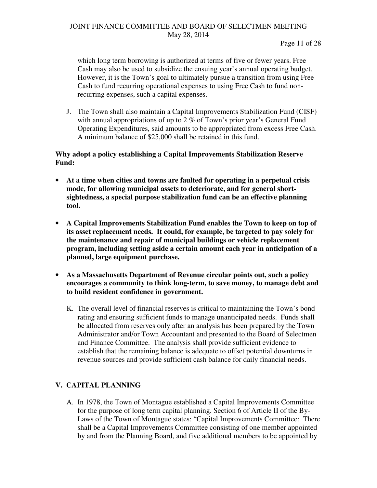#### Page 11 of 28

which long term borrowing is authorized at terms of five or fewer years. Free Cash may also be used to subsidize the ensuing year's annual operating budget. However, it is the Town's goal to ultimately pursue a transition from using Free Cash to fund recurring operational expenses to using Free Cash to fund nonrecurring expenses, such a capital expenses.

J. The Town shall also maintain a Capital Improvements Stabilization Fund (CISF) with annual appropriations of up to 2 % of Town's prior year's General Fund Operating Expenditures, said amounts to be appropriated from excess Free Cash. A minimum balance of \$25,000 shall be retained in this fund.

## **Why adopt a policy establishing a Capital Improvements Stabilization Reserve Fund:**

- **At a time when cities and towns are faulted for operating in a perpetual crisis mode, for allowing municipal assets to deteriorate, and for general shortsightedness, a special purpose stabilization fund can be an effective planning tool.**
- **A Capital Improvements Stabilization Fund enables the Town to keep on top of its asset replacement needs. It could, for example, be targeted to pay solely for the maintenance and repair of municipal buildings or vehicle replacement program, including setting aside a certain amount each year in anticipation of a planned, large equipment purchase.**
- **As a Massachusetts Department of Revenue circular points out, such a policy encourages a community to think long-term, to save money, to manage debt and to build resident confidence in government.** 
	- K. The overall level of financial reserves is critical to maintaining the Town's bond rating and ensuring sufficient funds to manage unanticipated needs. Funds shall be allocated from reserves only after an analysis has been prepared by the Town Administrator and/or Town Accountant and presented to the Board of Selectmen and Finance Committee. The analysis shall provide sufficient evidence to establish that the remaining balance is adequate to offset potential downturns in revenue sources and provide sufficient cash balance for daily financial needs.

# **V. CAPITAL PLANNING**

A. In 1978, the Town of Montague established a Capital Improvements Committee for the purpose of long term capital planning. Section 6 of Article II of the By-Laws of the Town of Montague states: "Capital Improvements Committee: There shall be a Capital Improvements Committee consisting of one member appointed by and from the Planning Board, and five additional members to be appointed by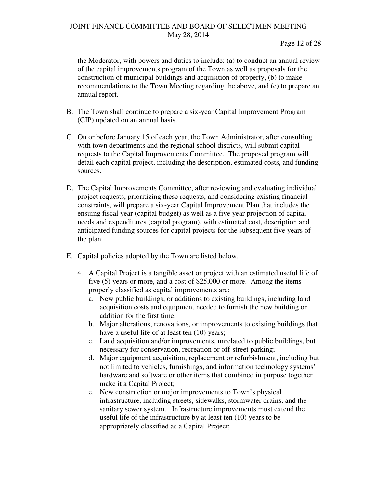Page 12 of 28

the Moderator, with powers and duties to include: (a) to conduct an annual review of the capital improvements program of the Town as well as proposals for the construction of municipal buildings and acquisition of property, (b) to make recommendations to the Town Meeting regarding the above, and (c) to prepare an annual report.

- B. The Town shall continue to prepare a six-year Capital Improvement Program (CIP) updated on an annual basis.
- C. On or before January 15 of each year, the Town Administrator, after consulting with town departments and the regional school districts, will submit capital requests to the Capital Improvements Committee. The proposed program will detail each capital project, including the description, estimated costs, and funding sources.
- D. The Capital Improvements Committee, after reviewing and evaluating individual project requests, prioritizing these requests, and considering existing financial constraints, will prepare a six-year Capital Improvement Plan that includes the ensuing fiscal year (capital budget) as well as a five year projection of capital needs and expenditures (capital program), with estimated cost, description and anticipated funding sources for capital projects for the subsequent five years of the plan.
- E. Capital policies adopted by the Town are listed below.
	- 4. A Capital Project is a tangible asset or project with an estimated useful life of five (5) years or more, and a cost of \$25,000 or more. Among the items properly classified as capital improvements are:
		- a. New public buildings, or additions to existing buildings, including land acquisition costs and equipment needed to furnish the new building or addition for the first time;
		- b. Major alterations, renovations, or improvements to existing buildings that have a useful life of at least ten  $(10)$  years;
		- c. Land acquisition and/or improvements, unrelated to public buildings, but necessary for conservation, recreation or off-street parking;
		- d. Major equipment acquisition, replacement or refurbishment, including but not limited to vehicles, furnishings, and information technology systems' hardware and software or other items that combined in purpose together make it a Capital Project;
		- e. New construction or major improvements to Town's physical infrastructure, including streets, sidewalks, stormwater drains, and the sanitary sewer system. Infrastructure improvements must extend the useful life of the infrastructure by at least ten (10) years to be appropriately classified as a Capital Project;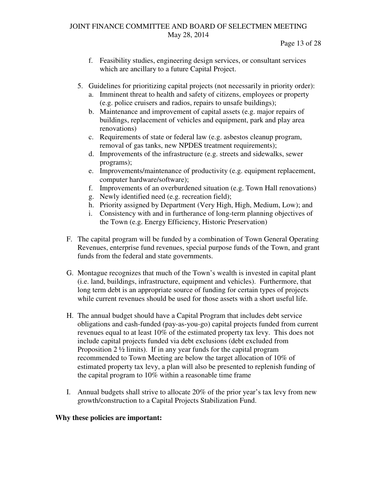- f. Feasibility studies, engineering design services, or consultant services which are ancillary to a future Capital Project.
- 5. Guidelines for prioritizing capital projects (not necessarily in priority order):
	- a. Imminent threat to health and safety of citizens, employees or property (e.g. police cruisers and radios, repairs to unsafe buildings);
	- b. Maintenance and improvement of capital assets (e.g. major repairs of buildings, replacement of vehicles and equipment, park and play area renovations)
	- c. Requirements of state or federal law (e.g. asbestos cleanup program, removal of gas tanks, new NPDES treatment requirements);
	- d. Improvements of the infrastructure (e.g. streets and sidewalks, sewer programs);
	- e. Improvements/maintenance of productivity (e.g. equipment replacement, computer hardware/software);
	- f. Improvements of an overburdened situation (e.g. Town Hall renovations)
	- g. Newly identified need (e.g. recreation field);
	- h. Priority assigned by Department (Very High, High, Medium, Low); and
	- i. Consistency with and in furtherance of long-term planning objectives of the Town (e.g. Energy Efficiency, Historic Preservation)
- F. The capital program will be funded by a combination of Town General Operating Revenues, enterprise fund revenues, special purpose funds of the Town, and grant funds from the federal and state governments.
- G. Montague recognizes that much of the Town's wealth is invested in capital plant (i.e. land, buildings, infrastructure, equipment and vehicles). Furthermore, that long term debt is an appropriate source of funding for certain types of projects while current revenues should be used for those assets with a short useful life.
- H. The annual budget should have a Capital Program that includes debt service obligations and cash-funded (pay-as-you-go) capital projects funded from current revenues equal to at least 10% of the estimated property tax levy. This does not include capital projects funded via debt exclusions (debt excluded from Proposition 2 ½ limits). If in any year funds for the capital program recommended to Town Meeting are below the target allocation of 10% of estimated property tax levy, a plan will also be presented to replenish funding of the capital program to 10% within a reasonable time frame
- I. Annual budgets shall strive to allocate 20% of the prior year's tax levy from new growth/construction to a Capital Projects Stabilization Fund.

## **Why these policies are important:**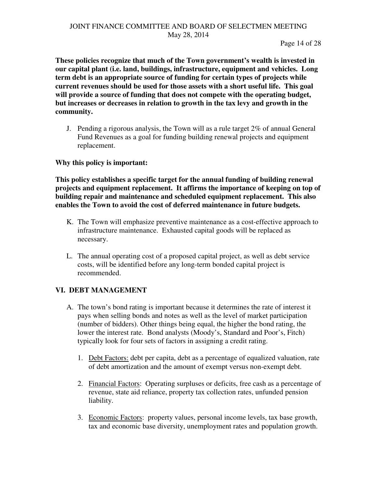**These policies recognize that much of the Town government's wealth is invested in our capital plant (i.e. land, buildings, infrastructure, equipment and vehicles. Long term debt is an appropriate source of funding for certain types of projects while current revenues should be used for those assets with a short useful life. This goal will provide a source of funding that does not compete with the operating budget, but increases or decreases in relation to growth in the tax levy and growth in the community.**

J. Pending a rigorous analysis, the Town will as a rule target 2% of annual General Fund Revenues as a goal for funding building renewal projects and equipment replacement.

## **Why this policy is important:**

**This policy establishes a specific target for the annual funding of building renewal projects and equipment replacement. It affirms the importance of keeping on top of building repair and maintenance and scheduled equipment replacement. This also enables the Town to avoid the cost of deferred maintenance in future budgets.** 

- K. The Town will emphasize preventive maintenance as a cost-effective approach to infrastructure maintenance. Exhausted capital goods will be replaced as necessary.
- L. The annual operating cost of a proposed capital project, as well as debt service costs, will be identified before any long-term bonded capital project is recommended.

# **VI. DEBT MANAGEMENT**

- A. The town's bond rating is important because it determines the rate of interest it pays when selling bonds and notes as well as the level of market participation (number of bidders). Other things being equal, the higher the bond rating, the lower the interest rate. Bond analysts (Moody's, Standard and Poor's, Fitch) typically look for four sets of factors in assigning a credit rating.
	- 1. Debt Factors: debt per capita, debt as a percentage of equalized valuation, rate of debt amortization and the amount of exempt versus non-exempt debt.
	- 2. Financial Factors: Operating surpluses or deficits, free cash as a percentage of revenue, state aid reliance, property tax collection rates, unfunded pension liability.
	- 3. Economic Factors: property values, personal income levels, tax base growth, tax and economic base diversity, unemployment rates and population growth.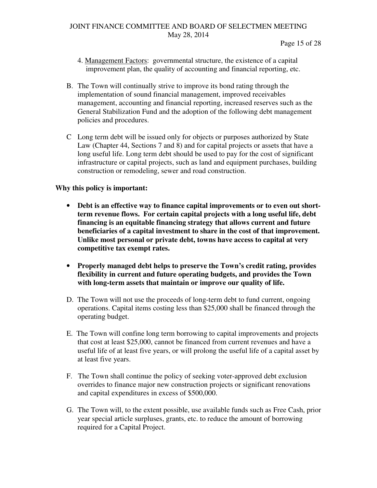Page 15 of 28

- 4. Management Factors: governmental structure, the existence of a capital improvement plan, the quality of accounting and financial reporting, etc.
- B. The Town will continually strive to improve its bond rating through the implementation of sound financial management, improved receivables management, accounting and financial reporting, increased reserves such as the General Stabilization Fund and the adoption of the following debt management policies and procedures.
- C Long term debt will be issued only for objects or purposes authorized by State Law (Chapter 44, Sections 7 and 8) and for capital projects or assets that have a long useful life. Long term debt should be used to pay for the cost of significant infrastructure or capital projects, such as land and equipment purchases, building construction or remodeling, sewer and road construction.

## **Why this policy is important:**

- **Debt is an effective way to finance capital improvements or to even out shortterm revenue flows. For certain capital projects with a long useful life, debt financing is an equitable financing strategy that allows current and future beneficiaries of a capital investment to share in the cost of that improvement. Unlike most personal or private debt, towns have access to capital at very competitive tax exempt rates.**
- **Properly managed debt helps to preserve the Town's credit rating, provides flexibility in current and future operating budgets, and provides the Town with long-term assets that maintain or improve our quality of life.**
- D. The Town will not use the proceeds of long-term debt to fund current, ongoing operations. Capital items costing less than \$25,000 shall be financed through the operating budget.
- E. The Town will confine long term borrowing to capital improvements and projects that cost at least \$25,000, cannot be financed from current revenues and have a useful life of at least five years, or will prolong the useful life of a capital asset by at least five years.
- F. The Town shall continue the policy of seeking voter-approved debt exclusion overrides to finance major new construction projects or significant renovations and capital expenditures in excess of \$500,000.
- G. The Town will, to the extent possible, use available funds such as Free Cash, prior year special article surpluses, grants, etc. to reduce the amount of borrowing required for a Capital Project.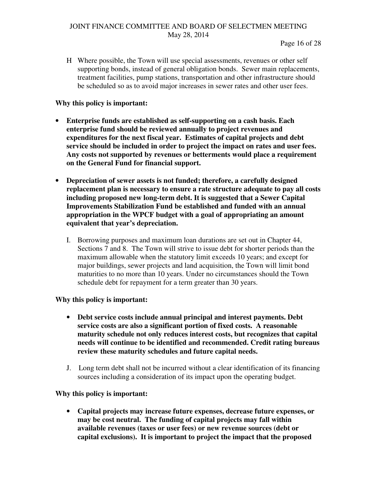H Where possible, the Town will use special assessments, revenues or other self supporting bonds, instead of general obligation bonds. Sewer main replacements, treatment facilities, pump stations, transportation and other infrastructure should be scheduled so as to avoid major increases in sewer rates and other user fees.

## **Why this policy is important:**

- **Enterprise funds are established as self-supporting on a cash basis. Each enterprise fund should be reviewed annually to project revenues and expenditures for the next fiscal year. Estimates of capital projects and debt service should be included in order to project the impact on rates and user fees. Any costs not supported by revenues or betterments would place a requirement on the General Fund for financial support.**
- **Depreciation of sewer assets is not funded; therefore, a carefully designed replacement plan is necessary to ensure a rate structure adequate to pay all costs including proposed new long-term debt. It is suggested that a Sewer Capital Improvements Stabilization Fund be established and funded with an annual appropriation in the WPCF budget with a goal of appropriating an amount equivalent that year's depreciation.** 
	- I. Borrowing purposes and maximum loan durations are set out in Chapter 44, Sections 7 and 8. The Town will strive to issue debt for shorter periods than the maximum allowable when the statutory limit exceeds 10 years; and except for major buildings, sewer projects and land acquisition, the Town will limit bond maturities to no more than 10 years. Under no circumstances should the Town schedule debt for repayment for a term greater than 30 years.

## **Why this policy is important:**

- **Debt service costs include annual principal and interest payments. Debt service costs are also a significant portion of fixed costs. A reasonable maturity schedule not only reduces interest costs, but recognizes that capital needs will continue to be identified and recommended. Credit rating bureaus review these maturity schedules and future capital needs.**
- J. Long term debt shall not be incurred without a clear identification of its financing sources including a consideration of its impact upon the operating budget.

## **Why this policy is important:**

• **Capital projects may increase future expenses, decrease future expenses, or may be cost neutral. The funding of capital projects may fall within available revenues (taxes or user fees) or new revenue sources (debt or capital exclusions). It is important to project the impact that the proposed**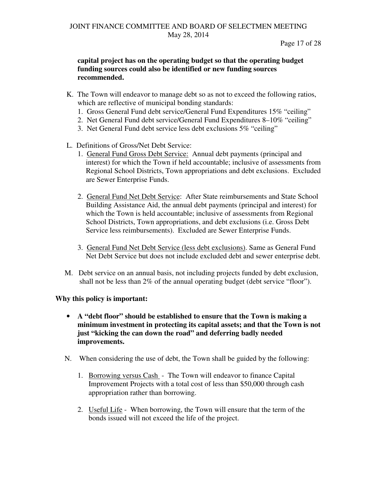Page 17 of 28

## **capital project has on the operating budget so that the operating budget funding sources could also be identified or new funding sources recommended.**

- K. The Town will endeavor to manage debt so as not to exceed the following ratios, which are reflective of municipal bonding standards:
	- 1. Gross General Fund debt service/General Fund Expenditures 15% "ceiling"
	- 2. Net General Fund debt service/General Fund Expenditures 8–10% "ceiling"
	- 3. Net General Fund debt service less debt exclusions 5% "ceiling"
- L. Definitions of Gross/Net Debt Service:
	- 1. General Fund Gross Debt Service: Annual debt payments (principal and interest) for which the Town if held accountable; inclusive of assessments from Regional School Districts, Town appropriations and debt exclusions. Excluded are Sewer Enterprise Funds.
	- 2. General Fund Net Debt Service: After State reimbursements and State School Building Assistance Aid, the annual debt payments (principal and interest) for which the Town is held accountable; inclusive of assessments from Regional School Districts, Town appropriations, and debt exclusions (i.e. Gross Debt Service less reimbursements). Excluded are Sewer Enterprise Funds.
	- 3. General Fund Net Debt Service (less debt exclusions). Same as General Fund Net Debt Service but does not include excluded debt and sewer enterprise debt.
- M. Debt service on an annual basis, not including projects funded by debt exclusion, shall not be less than 2% of the annual operating budget (debt service "floor").

## **Why this policy is important:**

- **A "debt floor" should be established to ensure that the Town is making a minimum investment in protecting its capital assets; and that the Town is not just "kicking the can down the road" and deferring badly needed improvements.**
- N. When considering the use of debt, the Town shall be guided by the following:
	- 1. Borrowing versus Cash The Town will endeavor to finance Capital Improvement Projects with a total cost of less than \$50,000 through cash appropriation rather than borrowing.
	- 2. Useful Life When borrowing, the Town will ensure that the term of the bonds issued will not exceed the life of the project.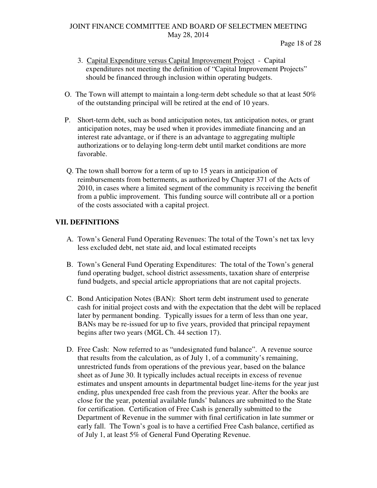Page 18 of 28

- 3. Capital Expenditure versus Capital Improvement Project Capital expenditures not meeting the definition of "Capital Improvement Projects" should be financed through inclusion within operating budgets.
- O. The Town will attempt to maintain a long-term debt schedule so that at least 50% of the outstanding principal will be retired at the end of 10 years.
- P. Short-term debt, such as bond anticipation notes, tax anticipation notes, or grant anticipation notes, may be used when it provides immediate financing and an interest rate advantage, or if there is an advantage to aggregating multiple authorizations or to delaying long-term debt until market conditions are more favorable.
- Q. The town shall borrow for a term of up to 15 years in anticipation of reimbursements from betterments, as authorized by Chapter 371 of the Acts of 2010, in cases where a limited segment of the community is receiving the benefit from a public improvement. This funding source will contribute all or a portion of the costs associated with a capital project.

# **VII. DEFINITIONS**

- A. Town's General Fund Operating Revenues: The total of the Town's net tax levy less excluded debt, net state aid, and local estimated receipts
- B. Town's General Fund Operating Expenditures: The total of the Town's general fund operating budget, school district assessments, taxation share of enterprise fund budgets, and special article appropriations that are not capital projects.
- C. Bond Anticipation Notes (BAN): Short term debt instrument used to generate cash for initial project costs and with the expectation that the debt will be replaced later by permanent bonding. Typically issues for a term of less than one year, BANs may be re-issued for up to five years, provided that principal repayment begins after two years (MGL Ch. 44 section 17).
- D. Free Cash: Now referred to as "undesignated fund balance". A revenue source that results from the calculation, as of July 1, of a community's remaining, unrestricted funds from operations of the previous year, based on the balance sheet as of June 30. It typically includes actual receipts in excess of revenue estimates and unspent amounts in departmental budget line-items for the year just ending, plus unexpended free cash from the previous year. After the books are close for the year, potential available funds' balances are submitted to the State for certification. Certification of Free Cash is generally submitted to the Department of Revenue in the summer with final certification in late summer or early fall. The Town's goal is to have a certified Free Cash balance, certified as of July 1, at least 5% of General Fund Operating Revenue.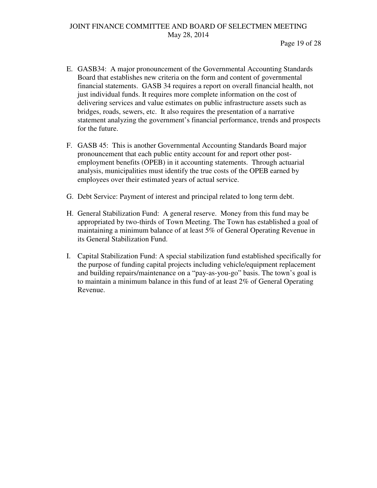- E. GASB34: A major pronouncement of the Governmental Accounting Standards Board that establishes new criteria on the form and content of governmental financial statements. GASB 34 requires a report on overall financial health, not just individual funds. It requires more complete information on the cost of delivering services and value estimates on public infrastructure assets such as bridges, roads, sewers, etc. It also requires the presentation of a narrative statement analyzing the government's financial performance, trends and prospects for the future.
- F. GASB 45: This is another Governmental Accounting Standards Board major pronouncement that each public entity account for and report other postemployment benefits (OPEB) in it accounting statements. Through actuarial analysis, municipalities must identify the true costs of the OPEB earned by employees over their estimated years of actual service.
- G. Debt Service: Payment of interest and principal related to long term debt.
- H. General Stabilization Fund: A general reserve. Money from this fund may be appropriated by two-thirds of Town Meeting. The Town has established a goal of maintaining a minimum balance of at least 5% of General Operating Revenue in its General Stabilization Fund.
- I. Capital Stabilization Fund: A special stabilization fund established specifically for the purpose of funding capital projects including vehicle/equipment replacement and building repairs/maintenance on a "pay-as-you-go" basis. The town's goal is to maintain a minimum balance in this fund of at least 2% of General Operating Revenue.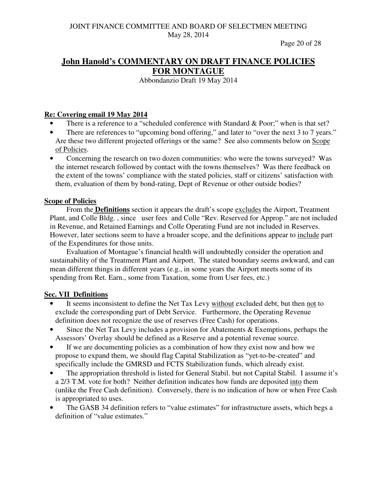Page 20 of 28

# **John Hanold's COMMENTARY ON DRAFT FINANCE POLICIES FOR MONTAGUE**

Abbondanzio Draft 19 May 2014

## **Re: Covering email 19 May 2014**

- There is a reference to a "scheduled conference with Standard & Poor;" when is that set?
- There are references to "upcoming bond offering," and later to "over the next 3 to 7 years." Are these two different projected offerings or the same? See also comments below on Scope of Policies.
- Concerning the research on two dozen communities: who were the towns surveyed? Was the internet research followed by contact with the towns themselves? Was there feedback on the extent of the towns' compliance with the stated policies, staff or citizens' satisfaction with them, evaluation of them by bond-rating, Dept of Revenue or other outside bodies?

## **Scope of Policies**

 From the **Definitions** section it appears the draft's scope excludes the Airport, Treatment Plant, and Colle Bldg. , since user fees and Colle "Rev. Reserved for Approp." are not included in Revenue, and Retained Earnings and Colle Operating Fund are not included in Reserves. However, later sections seem to have a broader scope, and the definitions appear to include part of the Expenditures for those units.

 Evaluation of Montague's financial health will undoubtedly consider the operation and sustainability of the Treatment Plant and Airport. The stated boundary seems awkward, and can mean different things in different years (e.g., in some years the Airport meets some of its spending from Ret. Earn., some from Taxation, some from User fees, etc.)

## **Sec. VII Definitions**

- It seems inconsistent to define the Net Tax Levy without excluded debt, but then not to exclude the corresponding part of Debt Service. Furthermore, the Operating Revenue definition does not recognize the use of reserves (Free Cash) for operations.
- Since the Net Tax Levy includes a provision for Abatements  $&$  Exemptions, perhaps the Assessors' Overlay should be defined as a Reserve and a potential revenue source.
- If we are documenting policies as a combination of how they exist now and how we propose to expand them, we should flag Capital Stabilization as "yet-to-be-created" and specifically include the GMRSD and FCTS Stabilization funds, which already exist.
- The appropriation threshold is listed for General Stabil. but not Capital Stabil. I assume it's a 2/3 T.M. vote for both? Neither definition indicates how funds are deposited into them (unlike the Free Cash definition). Conversely, there is no indication of how or when Free Cash is appropriated to uses.
- The GASB 34 definition refers to "value estimates" for infrastructure assets, which begs a definition of "value estimates."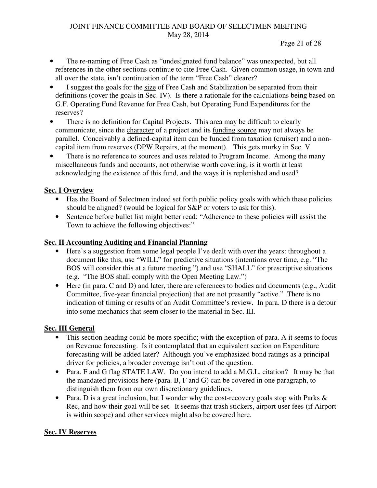#### Page 21 of 28

- The re-naming of Free Cash as "undesignated fund balance" was unexpected, but all references in the other sections continue to cite Free Cash. Given common usage, in town and all over the state, isn't continuation of the term "Free Cash" clearer?
- I suggest the goals for the size of Free Cash and Stabilization be separated from their definitions (cover the goals in Sec. IV). Is there a rationale for the calculations being based on G.F. Operating Fund Revenue for Free Cash, but Operating Fund Expenditures for the reserves?
- There is no definition for Capital Projects. This area may be difficult to clearly communicate, since the character of a project and its funding source may not always be parallel. Conceivably a defined-capital item can be funded from taxation (cruiser) and a noncapital item from reserves (DPW Repairs, at the moment). This gets murky in Sec. V.
- There is no reference to sources and uses related to Program Income. Among the many miscellaneous funds and accounts, not otherwise worth covering, is it worth at least acknowledging the existence of this fund, and the ways it is replenished and used?

## **Sec. I Overview**

- Has the Board of Selectmen indeed set forth public policy goals with which these policies should be aligned? (would be logical for S&P or voters to ask for this).
- Sentence before bullet list might better read: "Adherence to these policies will assist the Town to achieve the following objectives:"

## **Sec. II Accounting Auditing and Financial Planning**

- Here's a suggestion from some legal people I've dealt with over the years: throughout a document like this, use "WILL" for predictive situations (intentions over time, e.g. "The BOS will consider this at a future meeting.") and use "SHALL" for prescriptive situations (e.g. "The BOS shall comply with the Open Meeting Law.")
- Here (in para. C and D) and later, there are references to bodies and documents (e.g., Audit Committee, five-year financial projection) that are not presently "active." There is no indication of timing or results of an Audit Committee's review. In para. D there is a detour into some mechanics that seem closer to the material in Sec. III.

# **Sec. III General**

- This section heading could be more specific; with the exception of para. A it seems to focus on Revenue forecasting. Is it contemplated that an equivalent section on Expenditure forecasting will be added later? Although you've emphasized bond ratings as a principal driver for policies, a broader coverage isn't out of the question.
- Para. F and G flag STATE LAW. Do you intend to add a M.G.L. citation? It may be that the mandated provisions here (para. B, F and G) can be covered in one paragraph, to distinguish them from our own discretionary guidelines.
- Para. D is a great inclusion, but I wonder why the cost-recovery goals stop with Parks & Rec, and how their goal will be set. It seems that trash stickers, airport user fees (if Airport is within scope) and other services might also be covered here.

## **Sec. IV Reserves**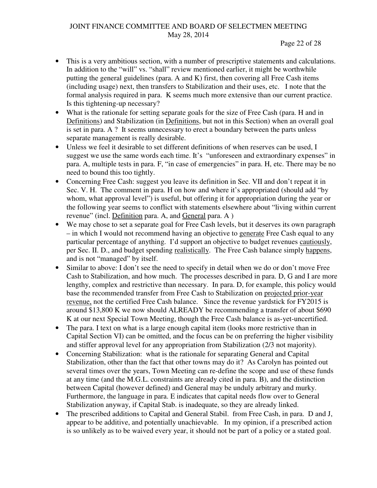- This is a very ambitious section, with a number of prescriptive statements and calculations. In addition to the "will" vs. "shall" review mentioned earlier, it might be worthwhile putting the general guidelines (para. A and K) first, then covering all Free Cash items (including usage) next, then transfers to Stabilization and their uses, etc. I note that the formal analysis required in para. K seems much more extensive than our current practice. Is this tightening-up necessary?
- What is the rationale for setting separate goals for the size of Free Cash (para. H and in Definitions) and Stabilization (in Definitions, but not in this Section) when an overall goal is set in para. A ? It seems unnecessary to erect a boundary between the parts unless separate management is really desirable.
- Unless we feel it desirable to set different definitions of when reserves can be used, I suggest we use the same words each time. It's "unforeseen and extraordinary expenses" in para. A, multiple tests in para. F, "in case of emergencies" in para. H, etc. There may be no need to bound this too tightly.
- Concerning Free Cash: suggest you leave its definition in Sec. VII and don't repeat it in Sec. V. H. The comment in para. H on how and where it's appropriated (should add "by whom, what approval level") is useful, but offering it for appropriation during the year or the following year seems to conflict with statements elsewhere about "living within current revenue" (incl. Definition para. A, and General para. A )
- We may chose to set a separate goal for Free Cash levels, but it deserves its own paragraph – in which I would not recommend having an objective to generate Free Cash equal to any particular percentage of anything. I'd support an objective to budget revenues cautiously, per Sec. II. D., and budget spending realistically. The Free Cash balance simply happens, and is not "managed" by itself.
- Similar to above: I don't see the need to specify in detail when we do or don't move Free Cash to Stabilization, and how much. The processes described in para. D, G and I are more lengthy, complex and restrictive than necessary. In para. D, for example, this policy would base the recommended transfer from Free Cash to Stabilization on projected prior-year revenue, not the certified Free Cash balance. Since the revenue yardstick for FY2015 is around \$13,800 K we now should ALREADY be recommending a transfer of about \$690 K at our next Special Town Meeting, though the Free Cash balance is as-yet-uncertified.
- The para. I text on what is a large enough capital item (looks more restrictive than in Capital Section VI) can be omitted, and the focus can be on preferring the higher visibility and stiffer approval level for any appropriation from Stabilization (2/3 not majority).
- Concerning Stabilization: what is the rationale for separating General and Capital Stabilization, other than the fact that other towns may do it? As Carolyn has pointed out several times over the years, Town Meeting can re-define the scope and use of these funds at any time (and the M.G.L. constraints are already cited in para. B), and the distinction between Capital (however defined) and General may be unduly arbitrary and murky. Furthermore, the language in para. E indicates that capital needs flow over to General Stabilization anyway, if Capital Stab. is inadequate, so they are already linked.
- The prescribed additions to Capital and General Stabil. from Free Cash, in para. D and J, appear to be additive, and potentially unachievable. In my opinion, if a prescribed action is so unlikely as to be waived every year, it should not be part of a policy or a stated goal.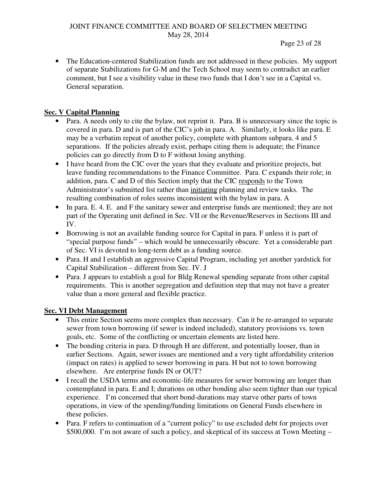#### Page 23 of 28

• The Education-centered Stabilization funds are not addressed in these policies. My support of separate Stabilizations for G-M and the Tech School may seem to contradict an earlier comment, but I see a visibility value in these two funds that I don't see in a Capital vs. General separation.

# **Sec. V Capital Planning**

- Para. A needs only to cite the bylaw, not reprint it. Para. B is unnecessary since the topic is covered in para. D and is part of the CIC's job in para. A. Similarly, it looks like para. E may be a verbatim repeat of another policy, complete with phantom subpara. 4 and 5 separations. If the policies already exist, perhaps citing them is adequate; the Finance policies can go directly from D to F without losing anything.
- I have heard from the CIC over the years that they evaluate and prioritize projects, but leave funding recommendations to the Finance Committee. Para. C expands their role; in addition, para. C and D of this Section imply that the CIC responds to the Town Administrator's submitted list rather than initiating planning and review tasks. The resulting combination of roles seems inconsistent with the bylaw in para. A
- In para, E. 4, E. and F the sanitary sewer and enterprise funds are mentioned; they are not part of the Operating unit defined in Sec. VII or the Revenue/Reserves in Sections III and IV.
- Borrowing is not an available funding source for Capital in para. Funless it is part of "special purpose funds" – which would be unnecessarily obscure. Yet a considerable part of Sec. VI is devoted to long-term debt as a funding source.
- Para. H and I establish an aggressive Capital Program, including yet another yardstick for Capital Stabilization – different from Sec. IV. J
- Para. J appears to establish a goal for Bldg Renewal spending separate from other capital requirements. This is another segregation and definition step that may not have a greater value than a more general and flexible practice.

## **Sec. VI Debt Management**

- This entire Section seems more complex than necessary. Can it be re-arranged to separate sewer from town borrowing (if sewer is indeed included), statutory provisions vs. town goals, etc. Some of the conflicting or uncertain elements are listed here.
- The bonding criteria in para. D through H are different, and potentially looser, than in earlier Sections. Again, sewer issues are mentioned and a very tight affordability criterion (impact on rates) is applied to sewer borrowing in para. H but not to town borrowing elsewhere. Are enterprise funds IN or OUT?
- I recall the USDA terms and economic-life measures for sewer borrowing are longer than contemplated in para. E and I; durations on other bonding also seem tighter than our typical experience. I'm concerned that short bond-durations may starve other parts of town operations, in view of the spending/funding limitations on General Funds elsewhere in these policies.
- Para. F refers to continuation of a "current policy" to use excluded debt for projects over \$500,000. I'm not aware of such a policy, and skeptical of its success at Town Meeting –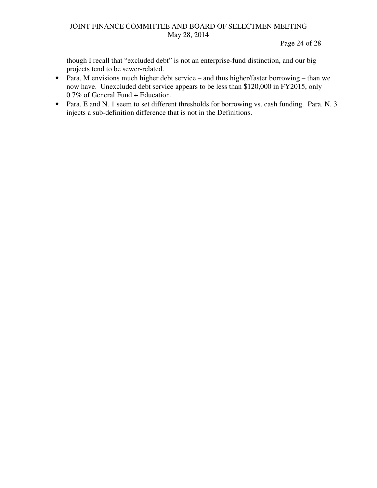Page 24 of 28

though I recall that "excluded debt" is not an enterprise-fund distinction, and our big projects tend to be sewer-related.

- Para. M envisions much higher debt service and thus higher/faster borrowing than we now have. Unexcluded debt service appears to be less than \$120,000 in FY2015, only 0.7% of General Fund + Education.
- Para. E and N. 1 seem to set different thresholds for borrowing vs. cash funding. Para. N. 3 injects a sub-definition difference that is not in the Definitions.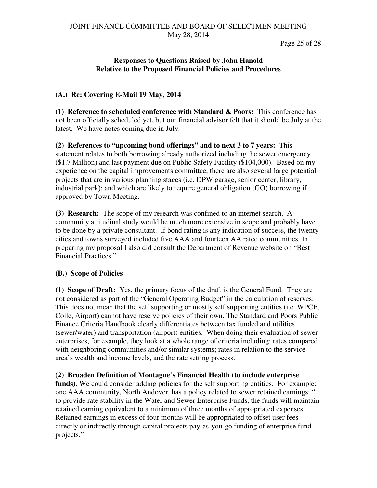Page 25 of 28

## **Responses to Questions Raised by John Hanold Relative to the Proposed Financial Policies and Procedures**

# **(A.) Re: Covering E-Mail 19 May, 2014**

**(1) Reference to scheduled conference with Standard & Poors:** This conference has not been officially scheduled yet, but our financial advisor felt that it should be July at the latest. We have notes coming due in July.

**(2) References to "upcoming bond offerings" and to next 3 to 7 years:** This statement relates to both borrowing already authorized including the sewer emergency (\$1.7 Million) and last payment due on Public Safety Facility (\$104,000). Based on my experience on the capital improvements committee, there are also several large potential projects that are in various planning stages (i.e. DPW garage, senior center, library, industrial park); and which are likely to require general obligation (GO) borrowing if approved by Town Meeting.

**(3) Research:** The scope of my research was confined to an internet search. A community attitudinal study would be much more extensive in scope and probably have to be done by a private consultant. If bond rating is any indication of success, the twenty cities and towns surveyed included five AAA and fourteen AA rated communities. In preparing my proposal I also did consult the Department of Revenue website on "Best Financial Practices."

## **(B.) Scope of Policies**

**(1) Scope of Draft:** Yes, the primary focus of the draft is the General Fund. They are not considered as part of the "General Operating Budget" in the calculation of reserves. This does not mean that the self supporting or mostly self supporting entities (i.e. WPCF, Colle, Airport) cannot have reserve policies of their own. The Standard and Poors Public Finance Criteria Handbook clearly differentiates between tax funded and utilities (sewer/water) and transportation (airport) entities. When doing their evaluation of sewer enterprises, for example, they look at a whole range of criteria including: rates compared with neighboring communities and/or similar systems; rates in relation to the service area's wealth and income levels, and the rate setting process.

(**2) Broaden Definition of Montague's Financial Health (to include enterprise**  funds). We could consider adding policies for the self supporting entities. For example: one AAA community, North Andover, has a policy related to sewer retained earnings: " to provide rate stability in the Water and Sewer Enterprise Funds, the funds will maintain retained earning equivalent to a minimum of three months of appropriated expenses. Retained earnings in excess of four months will be appropriated to offset user fees directly or indirectly through capital projects pay-as-you-go funding of enterprise fund projects."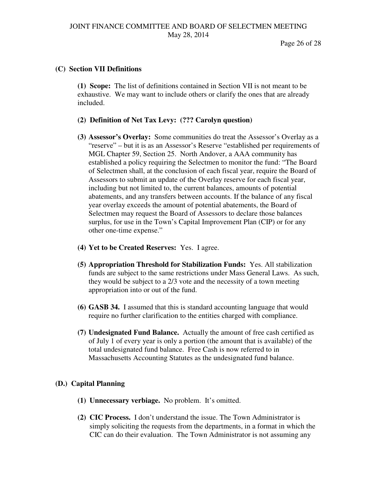#### **(C) Section VII Definitions**

**(1) Scope:** The list of definitions contained in Section VII is not meant to be exhaustive. We may want to include others or clarify the ones that are already included.

- **(2) Definition of Net Tax Levy: (??? Carolyn question)**
- **(3) Assessor's Overlay:** Some communities do treat the Assessor's Overlay as a "reserve" – but it is as an Assessor's Reserve "established per requirements of MGL Chapter 59, Section 25. North Andover, a AAA community has established a policy requiring the Selectmen to monitor the fund: "The Board of Selectmen shall, at the conclusion of each fiscal year, require the Board of Assessors to submit an update of the Overlay reserve for each fiscal year, including but not limited to, the current balances, amounts of potential abatements, and any transfers between accounts. If the balance of any fiscal year overlay exceeds the amount of potential abatements, the Board of Selectmen may request the Board of Assessors to declare those balances surplus, for use in the Town's Capital Improvement Plan (CIP) or for any other one-time expense."
- **(4) Yet to be Created Reserves:** Yes. I agree.
- **(5) Appropriation Threshold for Stabilization Funds:** Yes. All stabilization funds are subject to the same restrictions under Mass General Laws. As such, they would be subject to a 2/3 vote and the necessity of a town meeting appropriation into or out of the fund.
- **(6) GASB 34.** I assumed that this is standard accounting language that would require no further clarification to the entities charged with compliance.
- **(7) Undesignated Fund Balance.** Actually the amount of free cash certified as of July 1 of every year is only a portion (the amount that is available) of the total undesignated fund balance. Free Cash is now referred to in Massachusetts Accounting Statutes as the undesignated fund balance.

## **(D.) Capital Planning**

- **(1) Unnecessary verbiage.** No problem. It's omitted.
- **(2) CIC Process.** I don't understand the issue. The Town Administrator is simply soliciting the requests from the departments, in a format in which the CIC can do their evaluation. The Town Administrator is not assuming any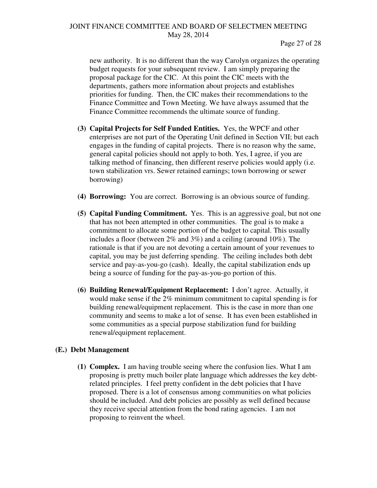new authority. It is no different than the way Carolyn organizes the operating budget requests for your subsequent review. I am simply preparing the proposal package for the CIC. At this point the CIC meets with the departments, gathers more information about projects and establishes priorities for funding. Then, the CIC makes their recommendations to the Finance Committee and Town Meeting. We have always assumed that the Finance Committee recommends the ultimate source of funding.

- **(3) Capital Projects for Self Funded Entities.** Yes, the WPCF and other enterprises are not part of the Operating Unit defined in Section VII; but each engages in the funding of capital projects. There is no reason why the same, general capital policies should not apply to both. Yes, I agree, if you are talking method of financing, then different reserve policies would apply (i.e. town stabilization vrs. Sewer retained earnings; town borrowing or sewer borrowing)
- **(4) Borrowing:** You are correct. Borrowing is an obvious source of funding.
- **(5) Capital Funding Commitment.** Yes. This is an aggressive goal, but not one that has not been attempted in other communities. The goal is to make a commitment to allocate some portion of the budget to capital. This usually includes a floor (between 2% and 3%) and a ceiling (around 10%). The rationale is that if you are not devoting a certain amount of your revenues to capital, you may be just deferring spending. The ceiling includes both debt service and pay-as-you-go (cash). Ideally, the capital stabilization ends up being a source of funding for the pay-as-you-go portion of this.
- **(6) Building Renewal/Equipment Replacement:** I don't agree. Actually, it would make sense if the 2% minimum commitment to capital spending is for building renewal/equipment replacement. This is the case in more than one community and seems to make a lot of sense. It has even been established in some communities as a special purpose stabilization fund for building renewal/equipment replacement.

#### **(E.) Debt Management**

**(1) Complex.** I am having trouble seeing where the confusion lies. What I am proposing is pretty much boiler plate language which addresses the key debtrelated principles. I feel pretty confident in the debt policies that I have proposed. There is a lot of consensus among communities on what policies should be included. And debt policies are possibly as well defined because they receive special attention from the bond rating agencies. I am not proposing to reinvent the wheel.